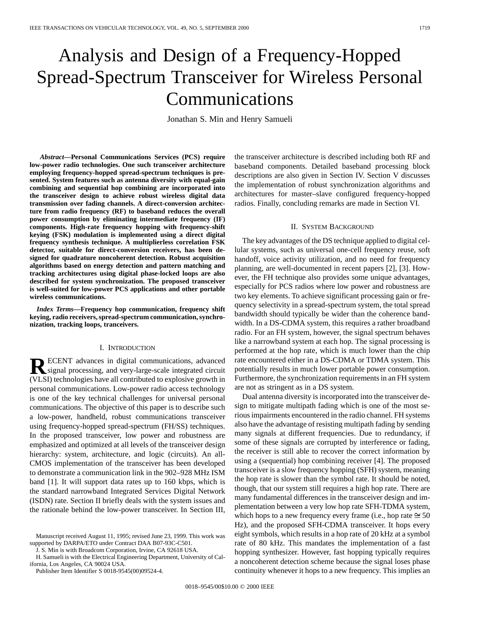# Analysis and Design of a Frequency-Hopped Spread-Spectrum Transceiver for Wireless Personal Communications

Jonathan S. Min and Henry Samueli

*Abstract—***Personal Communications Services (PCS) require low-power radio technologies. One such transceiver architecture employing frequency-hopped spread-spectrum techniques is presented. System features such as antenna diversity with equal-gain combining and sequential hop combining are incorporated into the transceiver design to achieve robust wireless digital data transmission over fading channels. A direct-conversion architecture from radio frequency (RF) to baseband reduces the overall power consumption by eliminating intermediate frequency (IF) components. High-rate frequency hopping with frequency-shift keying (FSK) modulation is implemented using a direct digital frequency synthesis technique. A multiplierless correlation FSK detector, suitable for direct-conversion receivers, has been designed for quadrature noncoherent detection. Robust acquisition algorithms based on energy detection and pattern matching and tracking architectures using digital phase-locked loops are also described for system synchronization. The proposed transceiver is well-suited for low-power PCS applications and other portable wireless communications.**

*Index Terms—***Frequency hop communication, frequency shift keying, radio receivers, spread-spectrum communication, synchronization, tracking loops, tranceivers.**

## I. INTRODUCTION

**RECENT** advances in digital communications, advanced<br>signal processing, and very-large-scale integrated circuit (VLSI) technologies have all contributed to explosive growth in personal communications. Low-power radio access technology is one of the key technical challenges for universal personal communications. The objective of this paper is to describe such a low-power, handheld, robust communications transceiver using frequency-hopped spread-spectrum (FH/SS) techniques. In the proposed transceiver, low power and robustness are emphasized and optimized at all levels of the transceiver design hierarchy: system, architecture, and logic (circuits). An all-CMOS implementation of the transceiver has been developed to demonstrate a communication link in the 902–928 MHz ISM band [1]. It will support data rates up to 160 kbps, which is the standard narrowband Integrated Services Digital Network (ISDN) rate. Section II briefly deals with the system issues and the rationale behind the low-power transceiver. In Section III,

J. S. Min is with Broadcom Corporation, Irvine, CA 92618 USA.

H. Samueli is with the Electrical Engineering Department, University of California, Los Angeles, CA 90024 USA.

Publisher Item Identifier S 0018-9545(00)09524-4.

the transceiver architecture is described including both RF and baseband components. Detailed baseband processing block descriptions are also given in Section IV. Section V discusses the implementation of robust synchronization algorithms and architectures for master–slave configured frequency-hopped radios. Finally, concluding remarks are made in Section VI.

# II. SYSTEM BACKGROUND

The key advantages of the DS technique applied to digital cellular systems, such as universal one-cell frequency reuse, soft handoff, voice activity utilization, and no need for frequency planning, are well-documented in recent papers [2], [3]. However, the FH technique also provides some unique advantages, especially for PCS radios where low power and robustness are two key elements. To achieve significant processing gain or frequency selectivity in a spread-spectrum system, the total spread bandwidth should typically be wider than the coherence bandwidth. In a DS-CDMA system, this requires a rather broadband radio. For an FH system, however, the signal spectrum behaves like a narrowband system at each hop. The signal processing is performed at the hop rate, which is much lower than the chip rate encountered either in a DS-CDMA or TDMA system. This potentially results in much lower portable power consumption. Furthermore, the synchronization requirements in an FH system are not as stringent as in a DS system.

Dual antenna diversity is incorporated into the transceiver design to mitigate multipath fading which is one of the most serious impairments encountered in the radio channel. FH systems also have the advantage of resisting multipath fading by sending many signals at different frequencies. Due to redundancy, if some of these signals are corrupted by interference or fading, the receiver is still able to recover the correct information by using a (sequential) hop combining receiver [4]. The proposed transceiver is a slow frequency hopping (SFH) system, meaning the hop rate is slower than the symbol rate. It should be noted, though, that our system still requires a high hop rate. There are many fundamental differences in the transceiver design and implementation between a very low hop rate SFH-TDMA system, which hops to a new frequency every frame (i.e., hop rate  $\approx 50$ Hz), and the proposed SFH-CDMA transceiver. It hops every eight symbols, which results in a hop rate of 20 kHz at a symbol rate of 80 kHz. This mandates the implementation of a fast hopping synthesizer. However, fast hopping typically requires a noncoherent detection scheme because the signal loses phase continuity whenever it hops to a new frequency. This implies an

Manuscript received August 11, 1995; revised June 23, 1999. This work was supported by DARPA/ETO under Contract DAA B07-93C-C501.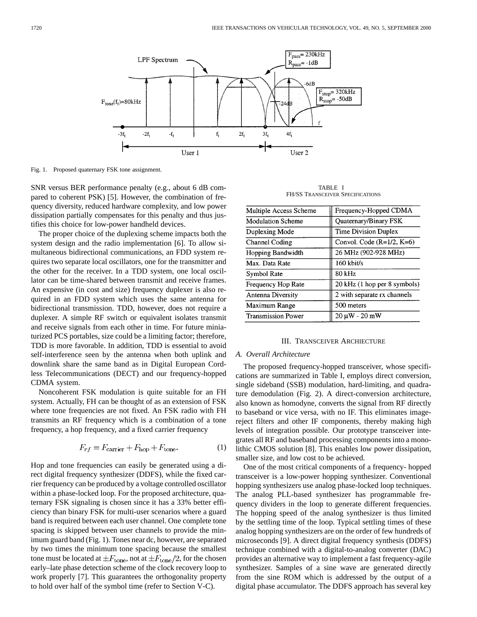

Fig. 1. Proposed quaternary FSK tone assignment.

SNR versus BER performance penalty (e.g., about 6 dB compared to coherent PSK) [5]. However, the combination of frequency diversity, reduced hardware complexity, and low power dissipation partially compensates for this penalty and thus justifies this choice for low-power handheld devices.

The proper choice of the duplexing scheme impacts both the system design and the radio implementation [6]. To allow simultaneous bidirectional communications, an FDD system requires two separate local oscillators, one for the transmitter and the other for the receiver. In a TDD system, one local oscillator can be time-shared between transmit and receive frames. An expensive (in cost and size) frequency duplexer is also required in an FDD system which uses the same antenna for bidirectional transmission. TDD, however, does not require a duplexer. A simple RF switch or equivalent isolates transmit and receive signals from each other in time. For future miniaturized PCS portables, size could be a limiting factor; therefore, TDD is more favorable. In addition, TDD is essential to avoid self-interference seen by the antenna when both uplink and downlink share the same band as in Digital European Cordless Telecommunications (DECT) and our frequency-hopped CDMA system.

Noncoherent FSK modulation is quite suitable for an FH system. Actually, FH can be thought of as an extension of FSK where tone frequencies are not fixed. An FSK radio with FH transmits an RF frequency which is a combination of a tone frequency, a hop frequency, and a fixed carrier frequency

$$
F_{rf} = F_{\text{carrier}} + F_{\text{hop}} + F_{\text{tone}}.\tag{1}
$$

Hop and tone frequencies can easily be generated using a direct digital frequency synthesizer (DDFS), while the fixed carrier frequency can be produced by a voltage controlled oscillator within a phase-locked loop. For the proposed architecture, quaternary FSK signaling is chosen since it has a 33% better efficiency than binary FSK for multi-user scenarios where a guard band is required between each user channel. One complete tone spacing is skipped between user channels to provide the minimum guard band (Fig. 1). Tones near dc, however, are separated by two times the minimum tone spacing because the smallest tone must be located at  $\pm F_{\text{tone}}$ , not at  $\pm F_{\text{tone}}/2$ , for the chosen early–late phase detection scheme of the clock recovery loop to work properly [7]. This guarantees the orthogonality property to hold over half of the symbol time (refer to Section V-C).

TABLE I FH/SS TRANSCEIVER SPECIFICATIONS

| Multiple Access Scheme    | Frequency-Hopped CDMA        |
|---------------------------|------------------------------|
| <b>Modulation Scheme</b>  | Quaternary/Binary FSK        |
| Duplexing Mode            | Time Division Duplex         |
| Channel Coding            | Convol. Code $(R=1/2, K=6)$  |
| <b>Hopping Bandwidth</b>  | 26 MHz (902-928 MHz)         |
| Max. Data Rate            | 160 kbit/s                   |
| Symbol Rate               | 80 kHz                       |
| Frequency Hop Rate        | 20 kHz (1 hop per 8 symbols) |
| Antenna Diversity         | 2 with separate rx channels  |
| Maximum Range             | 500 meters                   |
| <b>Transmission Power</b> | 20 μW - 20 mW                |
|                           |                              |

#### III. TRANSCEIVER ARCHIECTURE

#### *A. Overall Architecture*

The proposed frequency-hopped transceiver, whose specifications are summarized in Table I, employs direct conversion, single sideband (SSB) modulation, hard-limiting, and quadrature demodulation (Fig. 2). A direct-conversion architecture, also known as homodyne, converts the signal from RF directly to baseband or vice versa, with no IF. This eliminates imagereject filters and other IF components, thereby making high levels of integration possible. Our prototype transceiver integrates all RF and baseband processing components into a monolithic CMOS solution [8]. This enables low power dissipation, smaller size, and low cost to be achieved.

One of the most critical components of a frequency- hopped transceiver is a low-power hopping synthesizer. Conventional hopping synthesizers use analog phase-locked loop techniques. The analog PLL-based synthesizer has programmable frequency dividers in the loop to generate different frequencies. The hopping speed of the analog synthesizer is thus limited by the settling time of the loop. Typical settling times of these analog hopping synthesizers are on the order of few hundreds of microseconds [9]. A direct digital frequency synthesis (DDFS) technique combined with a digital-to-analog converter (DAC) provides an alternative way to implement a fast frequency-agile synthesizer. Samples of a sine wave are generated directly from the sine ROM which is addressed by the output of a digital phase accumulator. The DDFS approach has several key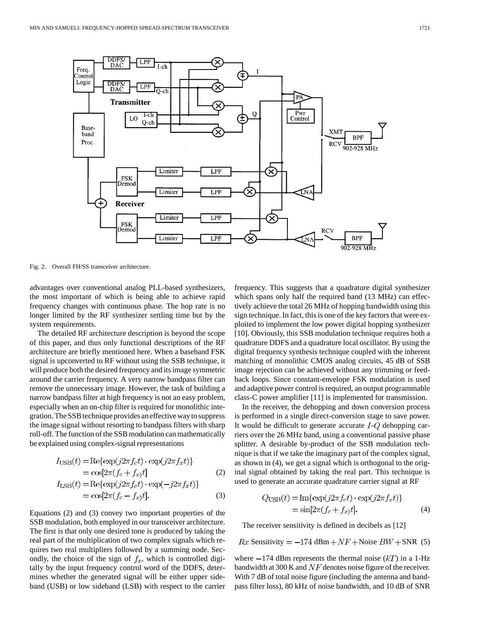

Fig. 2. Overall FH/SS transceiver architecture.

advantages over conventional analog PLL-based synthesizers, the most important of which is being able to achieve rapid frequency changes with continuous phase. The hop rate is no longer limited by the RF synthesizer settling time but by the system requirements.

The detailed RF architecture description is beyond the scope of this paper, and thus only functional descriptions of the RF architecture are briefly mentioned here. When a baseband FSK signal is upconverted to RF without using the SSB technique, it will produce both the desired frequency and its image symmetric around the carrier frequency. A very narrow bandpass filter can remove the unnecessary image. However, the task of building a narrow bandpass filter at high frequency is not an easy problem, especially when an on-chip filter is required for monolithic integration. The SSB technique provides an effective way to suppress the image signal without resorting to bandpass filters with sharp roll-off. The function of the SSB modulation can mathematically be explained using complex-signal representations

$$
I_{\text{USB}}(t) = \text{Re}\{\exp(j2\pi f_c t) \cdot \exp(j2\pi f_x t)\}\
$$
  
=  $\cos[2\pi (f_c + f_x)t]$  (2)  

$$
I_{\text{LSB}}(t) = \text{Re}\{\exp(j2\pi f_c t) \cdot \exp(-j2\pi f_x t)\}\
$$
  
=  $\cos[2\pi (f_c - f_x)t].$  (3)

Equations (2) and (3) convey two important properties of the SSB modulation, both employed in our transceiver architecture. The first is that only one desired tone is produced by taking the real part of the multiplication of two complex signals which requires two real multipliers followed by a summing node. Secondly, the choice of the sign of  $f_x$ , which is controlled digitally by the input frequency control word of the DDFS, determines whether the generated signal will be either upper sideband (USB) or low sideband (LSB) with respect to the carrier frequency. This suggests that a quadrature digital synthesizer which spans only half the required band (13 MHz) can effectively achieve the total 26 MHz of hopping bandwidth using this sign technique. In fact, this is one of the key factors that were exploited to implement the low power digital hopping synthesizer [10]. Obviously, this SSB modulation technique requires both a quadrature DDFS and a quadrature local oscillator. By using the digital frequency synthesis technique coupled with the inherent matching of monolithic CMOS analog circuits, 45 dB of SSB image rejection can be achieved without any trimming or feedback loops. Since constant-envelope FSK modulation is used and adaptive power control is required, an output programmable class-C power amplifier [11] is implemented for transmission.

In the receiver, the dehopping and down conversion process is performed in a single direct-conversion stage to save power. It would be difficult to generate accurate  $I-Q$  dehopping carriers over the 26 MHz band, using a conventional passive phase splitter. A desirable by-product of the SSB modulation technique is that if we take the imaginary part of the complex signal, as shown in (4), we get a signal which is orthogonal to the original signal obtained by taking the real part. This technique is used to generate an accurate quadrature carrier signal at RF

$$
Q_{\text{USB}}(t) = \text{Im}\{\exp(j2\pi f_c t) \cdot \exp(j2\pi f_x t)\}
$$
  
= 
$$
\sin[2\pi (f_c + f_x)t].
$$
 (4)

The receiver sensitivity is defined in decibels as [12]

 $Rx$  Sensitivity  $= -174$  dBm  $+NF$  + Noise  $BW$  + SNR (5)

where  $-174$  dBm represents the thermal noise  $(kT)$  in a 1-Hz bandwidth at 300 K and  $NF$  denotes noise figure of the receiver. With 7 dB of total noise figure (including the antenna and bandpass filter loss), 80 kHz of noise bandwidth, and 10 dB of SNR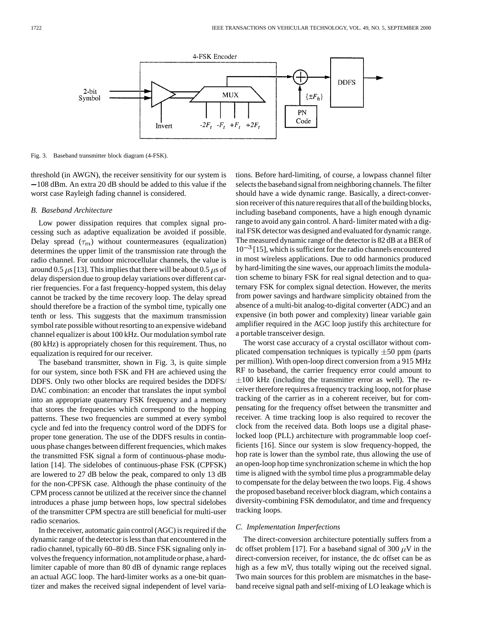

Fig. 3. Baseband transmitter block diagram (4-FSK).

threshold (in AWGN), the receiver sensitivity for our system is  $-108$  dBm. An extra 20 dB should be added to this value if the worst case Rayleigh fading channel is considered.

## *B. Baseband Architecture*

Low power dissipation requires that complex signal processing such as adaptive equalization be avoided if possible. Delay spread  $(\tau_m)$  without countermeasures (equalization) determines the upper limit of the transmission rate through the radio channel. For outdoor microcellular channels, the value is around 0.5  $\mu$ s [13]. This implies that there will be about 0.5  $\mu$ s of delay dispersion due to group delay variations over different carrier frequencies. For a fast frequency-hopped system, this delay cannot be tracked by the time recovery loop. The delay spread should therefore be a fraction of the symbol time, typically one tenth or less. This suggests that the maximum transmission symbol rate possible without resorting to an expensive wideband channel equalizer is about 100 kHz. Our modulation symbol rate (80 kHz) is appropriately chosen for this requirement. Thus, no equalization is required for our receiver.

The baseband transmitter, shown in Fig. 3, is quite simple for our system, since both FSK and FH are achieved using the DDFS. Only two other blocks are required besides the DDFS/ DAC combination: an encoder that translates the input symbol into an appropriate quaternary FSK frequency and a memory that stores the frequencies which correspond to the hopping patterns. These two frequencies are summed at every symbol cycle and fed into the frequency control word of the DDFS for proper tone generation. The use of the DDFS results in continuous phase changes between different frequencies, which makes the transmitted FSK signal a form of continuous-phase modulation [14]. The sidelobes of continuous-phase FSK (CPFSK) are lowered to 27 dB below the peak, compared to only 13 dB for the non-CPFSK case. Although the phase continuity of the CPM process cannot be utilized at the receiver since the channel introduces a phase jump between hops, low spectral sidelobes of the transmitter CPM spectra are still beneficial for multi-user radio scenarios.

In the receiver, automatic gain control (AGC) is required if the dynamic range of the detector is less than that encountered in the radio channel, typically 60–80 dB. Since FSK signaling only involves the frequency information, not amplitude or phase, a hardlimiter capable of more than 80 dB of dynamic range replaces an actual AGC loop. The hard-limiter works as a one-bit quantizer and makes the received signal independent of level variations. Before hard-limiting, of course, a lowpass channel filter selects the baseband signal from neighboring channels. The filter should have a wide dynamic range. Basically, a direct-conversion receiver of this nature requires that all of the building blocks, including baseband components, have a high enough dynamic range to avoid any gain control. A hard- limiter mated with a digital FSK detector was designed and evaluated for dynamic range. The measured dynamic range of the detector is 82 dB at a BER of  $10^{-3}$  [15], which is sufficient for the radio channels encountered in most wireless applications. Due to odd harmonics produced by hard-limiting the sine waves, our approach limits the modulation scheme to binary FSK for real signal detection and to quaternary FSK for complex signal detection. However, the merits from power savings and hardware simplicity obtained from the absence of a multi-bit analog-to-digital converter (ADC) and an expensive (in both power and complexity) linear variable gain amplifier required in the AGC loop justify this architecture for a portable transceiver design.

The worst case accuracy of a crystal oscillator without complicated compensation techniques is typically  $\pm 50$  ppm (parts per million). With open-loop direct conversion from a 915 MHz RF to baseband, the carrier frequency error could amount to  $\pm 100$  kHz (including the transmitter error as well). The receiver therefore requires a frequency tracking loop, not for phase tracking of the carrier as in a coherent receiver, but for compensating for the frequency offset between the transmitter and receiver. A time tracking loop is also required to recover the clock from the received data. Both loops use a digital phaselocked loop (PLL) architecture with programmable loop coefficients [16]. Since our system is slow frequency-hopped, the hop rate is lower than the symbol rate, thus allowing the use of an open-loop hop time synchronization scheme in which the hop time is aligned with the symbol time plus a programmable delay to compensate for the delay between the two loops. Fig. 4 shows the proposed baseband receiver block diagram, which contains a diversity-combining FSK demodulator, and time and frequency tracking loops.

## *C. Implementation Imperfections*

The direct-conversion architecture potentially suffers from a dc offset problem [17]. For a baseband signal of 300  $\mu$ V in the direct-conversion receiver, for instance, the dc offset can be as high as a few mV, thus totally wiping out the received signal. Two main sources for this problem are mismatches in the baseband receive signal path and self-mixing of LO leakage which is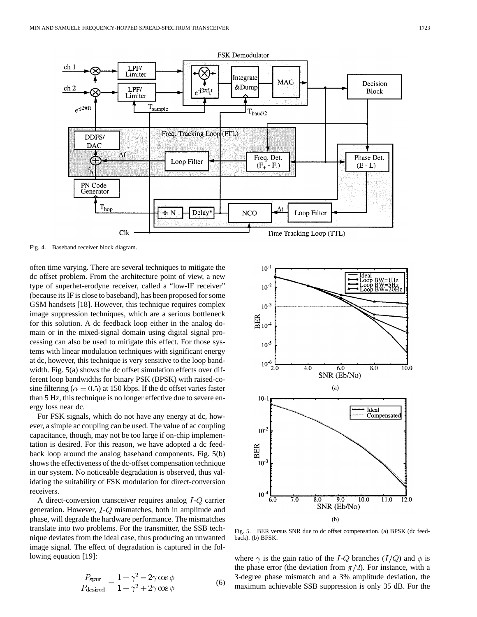

Fig. 4. Baseband receiver block diagram.

often time varying. There are several techniques to mitigate the dc offset problem. From the architecture point of view, a new type of superhet-erodyne receiver, called a "low-IF receiver" (because its IF is close to baseband), has been proposed for some GSM handsets [18]. However, this technique requires complex image suppression techniques, which are a serious bottleneck for this solution. A dc feedback loop either in the analog domain or in the mixed-signal domain using digital signal processing can also be used to mitigate this effect. For those systems with linear modulation techniques with significant energy at dc, however, this technique is very sensitive to the loop bandwidth. Fig. 5(a) shows the dc offset simulation effects over different loop bandwidths for binary PSK (BPSK) with raised-cosine filtering ( $\alpha = 0.5$ ) at 150 kbps. If the dc offset varies faster than 5 Hz, this technique is no longer effective due to severe energy loss near dc.

For FSK signals, which do not have any energy at dc, however, a simple ac coupling can be used. The value of ac coupling capacitance, though, may not be too large if on-chip implementation is desired. For this reason, we have adopted a dc feedback loop around the analog baseband components. Fig. 5(b) shows the effectiveness of the dc-offset compensation technique in our system. No noticeable degradation is observed, thus validating the suitability of FSK modulation for direct-conversion receivers.

A direct-conversion transceiver requires analog  $I-Q$  carrier generation. However,  $I-Q$  mismatches, both in amplitude and phase, will degrade the hardware performance. The mismatches translate into two problems. For the transmitter, the SSB technique deviates from the ideal case, thus producing an unwanted image signal. The effect of degradation is captured in the following equation [19]:

$$
\frac{P_{\text{spur}}}{P_{\text{desired}}} = \frac{1 + \gamma^2 - 2\gamma \cos \phi}{1 + \gamma^2 + 2\gamma \cos \phi} \tag{6}
$$



Fig. 5. BER versus SNR due to dc offset compensation. (a) BPSK (dc feedback). (b) BFSK.

where  $\gamma$  is the gain ratio of the I-Q branches (I/Q) and  $\phi$  is the phase error (the deviation from  $\pi/2$ ). For instance, with a 3-degree phase mismatch and a 3% amplitude deviation, the maximum achievable SSB suppression is only 35 dB. For the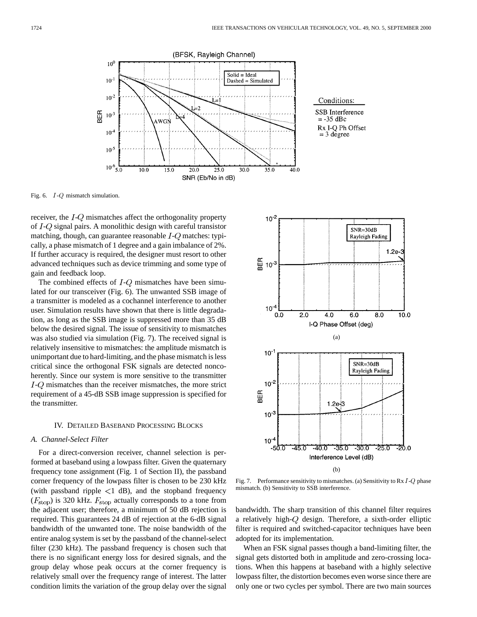

Fig. 6. I-Q mismatch simulation.

receiver, the  $I-Q$  mismatches affect the orthogonality property of  $I-Q$  signal pairs. A monolithic design with careful transistor matching, though, can guarantee reasonable  $I-Q$  matches: typically, a phase mismatch of 1 degree and a gain imbalance of 2%. If further accuracy is required, the designer must resort to other advanced techniques such as device trimming and some type of gain and feedback loop.

The combined effects of  $I-Q$  mismatches have been simulated for our transceiver (Fig. 6). The unwanted SSB image of a transmitter is modeled as a cochannel interference to another user. Simulation results have shown that there is little degradation, as long as the SSB image is suppressed more than 35 dB below the desired signal. The issue of sensitivity to mismatches was also studied via simulation (Fig. 7). The received signal is relatively insensitive to mismatches: the amplitude mismatch is unimportant due to hard-limiting, and the phase mismatch is less critical since the orthogonal FSK signals are detected noncoherently. Since our system is more sensitive to the transmitter  $I-Q$  mismatches than the receiver mismatches, the more strict requirement of a 45-dB SSB image suppression is specified for the transmitter.

## IV. DETAILED BASEBAND PROCESSING BLOCKS

# *A. Channel-Select Filter*

For a direct-conversion receiver, channel selection is performed at baseband using a lowpass filter. Given the quaternary frequency tone assignment (Fig. 1 of Section II), the passband corner frequency of the lowpass filter is chosen to be 230 kHz (with passband ripple  $\langle 1 \text{ dB} \rangle$ , and the stopband frequency  $(F<sub>stop</sub>)$  is 320 kHz.  $F<sub>stop</sub>$  actually corresponds to a tone from the adjacent user; therefore, a minimum of 50 dB rejection is required. This guarantees 24 dB of rejection at the 6-dB signal bandwidth of the unwanted tone. The noise bandwidth of the entire analog system is set by the passband of the channel-select filter (230 kHz). The passband frequency is chosen such that there is no significant energy loss for desired signals, and the group delay whose peak occurs at the corner frequency is relatively small over the frequency range of interest. The latter condition limits the variation of the group delay over the signal



Fig. 7. Performance sensitivity to mismatches. (a) Sensitivity to Rx  $I-Q$  phase mismatch. (b) Sensitivity to SSB interference.

bandwidth. The sharp transition of this channel filter requires a relatively high- $Q$  design. Therefore, a sixth-order elliptic filter is required and switched-capacitor techniques have been adopted for its implementation.

When an FSK signal passes though a band-limiting filter, the signal gets distorted both in amplitude and zero-crossing locations. When this happens at baseband with a highly selective lowpass filter, the distortion becomes even worse since there are only one or two cycles per symbol. There are two main sources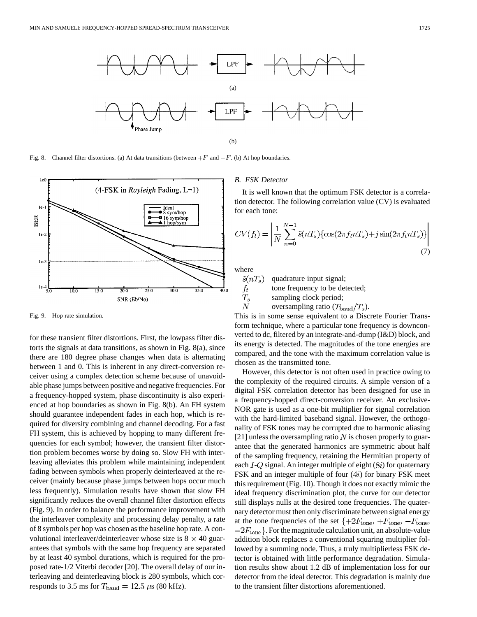



Fig. 9. Hop rate simulation.

for these transient filter distortions. First, the lowpass filter distorts the signals at data transitions, as shown in Fig. 8(a), since there are 180 degree phase changes when data is alternating between 1 and 0. This is inherent in any direct-conversion receiver using a complex detection scheme because of unavoidable phase jumps between positive and negative frequencies. For a frequency-hopped system, phase discontinuity is also experienced at hop boundaries as shown in Fig. 8(b). An FH system should guarantee independent fades in each hop, which is required for diversity combining and channel decoding. For a fast FH system, this is achieved by hopping to many different frequencies for each symbol; however, the transient filter distortion problem becomes worse by doing so. Slow FH with interleaving alleviates this problem while maintaining independent fading between symbols when properly deinterleaved at the receiver (mainly because phase jumps between hops occur much less frequently). Simulation results have shown that slow FH significantly reduces the overall channel filter distortion effects (Fig. 9). In order to balance the performance improvement with the interleaver complexity and processing delay penalty, a rate of 8 symbols per hop was chosen as the baseline hop rate. A convolutional interleaver/deinterleaver whose size is  $8 \times 40$  guarantees that symbols with the same hop frequency are separated by at least 40 symbol durations, which is required for the proposed rate-1/2 Viterbi decoder [20]. The overall delay of our interleaving and deinterleaving block is 280 symbols, which corresponds to 3.5 ms for  $T_{\text{baud}} = 12.5 \,\mu s$  (80 kHz).

# *B. FSK Detector*

It is well known that the optimum FSK detector is a correlation detector. The following correlation value (CV) is evaluated for each tone:

$$
CV(f_t) = \left| \frac{1}{N} \sum_{n=0}^{N-1} \tilde{s}(nT_s) \{ \cos(2\pi f_t nT_s) + j \sin(2\pi f_t nT_s) \} \right|
$$
\n(7)

where

 $\boldsymbol{N}$ 

 $\tilde{s}(nT_s)$ quadrature input signal; tone frequency to be detected;  $f_t$  $T_{s}$ sampling clock period;

oversampling ratio  $(T_{\text{baud}}/T_s)$ .

This is in some sense equivalent to a Discrete Fourier Transform technique, where a particular tone frequency is downconverted to dc, filtered by an integrate-and-dump (I&D) block, and its energy is detected. The magnitudes of the tone energies are compared, and the tone with the maximum correlation value is chosen as the transmitted tone.

However, this detector is not often used in practice owing to the complexity of the required circuits. A simple version of a digital FSK correlation detector has been designed for use in a frequency-hopped direct-conversion receiver. An exclusive-NOR gate is used as a one-bit multiplier for signal correlation with the hard-limited baseband signal. However, the orthogonality of FSK tones may be corrupted due to harmonic aliasing [21] unless the oversampling ratio  $N$  is chosen properly to guarantee that the generated harmonics are symmetric about half of the sampling frequency, retaining the Hermitian property of each  $I - Q$  signal. An integer multiple of eight ( $8i$ ) for quaternary FSK and an integer multiple of four  $(4i)$  for binary FSK meet this requirement (Fig. 10). Though it does not exactly mimic the ideal frequency discrimination plot, the curve for our detector still displays nulls at the desired tone frequencies. The quaternary detector must then only discriminate between signal energy at the tone frequencies of the set  $\{+2F_{\text{tone}}, +F_{\text{tone}}, -F_{\text{tone}}\}$  $-2F<sub>none</sub>$ . For the magnitude calculation unit, an absolute-value addition block replaces a conventional squaring multiplier followed by a summing node. Thus, a truly multiplierless FSK detector is obtained with little performance degradation. Simulation results show about 1.2 dB of implementation loss for our detector from the ideal detector. This degradation is mainly due to the transient filter distortions aforementioned.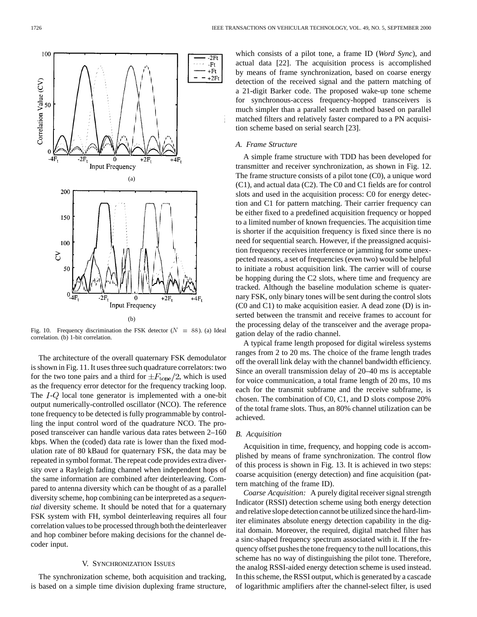

Fig. 10. Frequency discrimination the FSK detector  $(N = 88)$ . (a) Ideal correlation. (b) 1-bit correlation.

The architecture of the overall quaternary FSK demodulator is shown in Fig. 11. It uses three such quadrature correlators: two for the two tone pairs and a third for  $\pm F_{\text{tone}}/2$ , which is used as the frequency error detector for the frequency tracking loop. The  $I-Q$  local tone generator is implemented with a one-bit output numerically-controlled oscillator (NCO). The reference tone frequency to be detected is fully programmable by controlling the input control word of the quadrature NCO. The proposed transceiver can handle various data rates between 2–160 kbps. When the (coded) data rate is lower than the fixed modulation rate of 80 kBaud for quaternary FSK, the data may be repeated in symbol format. The repeat code provides extra diversity over a Rayleigh fading channel when independent hops of the same information are combined after deinterleaving. Compared to antenna diversity which can be thought of as a parallel diversity scheme, hop combining can be interpreted as a *sequential* diversity scheme. It should be noted that for a quaternary FSK system with FH, symbol deinterleaving requires all four correlation values to be processed through both the deinterleaver and hop combiner before making decisions for the channel decoder input.

#### V. SYNCHRONIZATION ISSUES

The synchronization scheme, both acquisition and tracking, is based on a simple time division duplexing frame structure, which consists of a pilot tone, a frame ID (*Word Sync*), and actual data [22]. The acquisition process is accomplished by means of frame synchronization, based on coarse energy detection of the received signal and the pattern matching of a 21-digit Barker code. The proposed wake-up tone scheme for synchronous-access frequency-hopped transceivers is much simpler than a parallel search method based on parallel matched filters and relatively faster compared to a PN acquisition scheme based on serial search [23].

# *A. Frame Structure*

A simple frame structure with TDD has been developed for transmitter and receiver synchronization, as shown in Fig. 12. The frame structure consists of a pilot tone (C0), a unique word (C1), and actual data (C2). The C0 and C1 fields are for control slots and used in the acquisition process: C0 for energy detection and C1 for pattern matching. Their carrier frequency can be either fixed to a predefined acquisition frequency or hopped to a limited number of known frequencies. The acquisition time is shorter if the acquisition frequency is fixed since there is no need for sequential search. However, if the preassigned acquisition frequency receives interference or jamming for some unexpected reasons, a set of frequencies (even two) would be helpful to initiate a robust acquisition link. The carrier will of course be hopping during the C2 slots, where time and frequency are tracked. Although the baseline modulation scheme is quaternary FSK, only binary tones will be sent during the control slots (C0 and C1) to make acquisition easier. A dead zone (D) is inserted between the transmit and receive frames to account for the processing delay of the transceiver and the average propagation delay of the radio channel.

A typical frame length proposed for digital wireless systems ranges from 2 to 20 ms. The choice of the frame length trades off the overall link delay with the channel bandwidth efficiency. Since an overall transmission delay of 20–40 ms is acceptable for voice communication, a total frame length of 20 ms, 10 ms each for the transmit subframe and the receive subframe, is chosen. The combination of C0, C1, and D slots compose 20% of the total frame slots. Thus, an 80% channel utilization can be achieved.

## *B. Acquisition*

Acquisition in time, frequency, and hopping code is accomplished by means of frame synchronization. The control flow of this process is shown in Fig. 13. It is achieved in two steps: coarse acquisition (energy detection) and fine acquisition (pattern matching of the frame ID).

*Coarse Acquisition:* A purely digital receiver signal strength Indicator (RSSI) detection scheme using both energy detection and relative slope detection cannot be utilized since the hard-limiter eliminates absolute energy detection capability in the digital domain. Moreover, the required, digital matched filter has a sinc-shaped frequency spectrum associated with it. If the frequency offset pushes the tone frequency to the null locations, this scheme has no way of distinguishing the pilot tone. Therefore, the analog RSSI-aided energy detection scheme is used instead. In this scheme, the RSSI output, which is generated by a cascade of logarithmic amplifiers after the channel-select filter, is used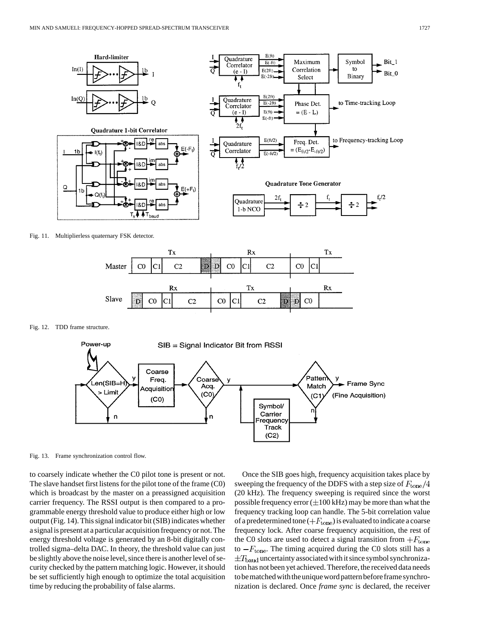

Fig. 11. Multiplierless quaternary FSK detector.



Fig. 12. TDD frame structure.



Fig. 13. Frame synchronization control flow.

to coarsely indicate whether the C0 pilot tone is present or not. The slave handset first listens for the pilot tone of the frame (C0) which is broadcast by the master on a preassigned acquisition carrier frequency. The RSSI output is then compared to a programmable energy threshold value to produce either high or low output (Fig. 14). This signal indicator bit (SIB) indicates whether a signal is present at a particular acquisition frequency or not. The energy threshold voltage is generated by an 8-bit digitally controlled sigma–delta DAC. In theory, the threshold value can just be slightly above the noise level, since there is another level of security checked by the pattern matching logic. However, it should be set sufficiently high enough to optimize the total acquisition time by reducing the probability of false alarms.

Once the SIB goes high, frequency acquisition takes place by sweeping the frequency of the DDFS with a step size of  $F_{\text{tone}}/4$ (20 kHz). The frequency sweeping is required since the worst possible frequency error  $(\pm 100 \text{ kHz})$  may be more than what the frequency tracking loop can handle. The 5-bit correlation value of a predetermined tone  $(+F_{\text{tone}})$  is evaluated to indicate a coarse frequency lock. After coarse frequency acquisition, the rest of the C0 slots are used to detect a signal transition from  $+F_{\text{tone}}$ to  $-F_{\text{tone}}$ . The timing acquired during the C0 slots still has a  $\pm T_{\text{baud}}$  uncertainty associated with it since symbol synchronization has not been yet achieved. Therefore, the received data needs to be matched with the unique word pattern before frame synchronization is declared. Once *frame sync* is declared, the receiver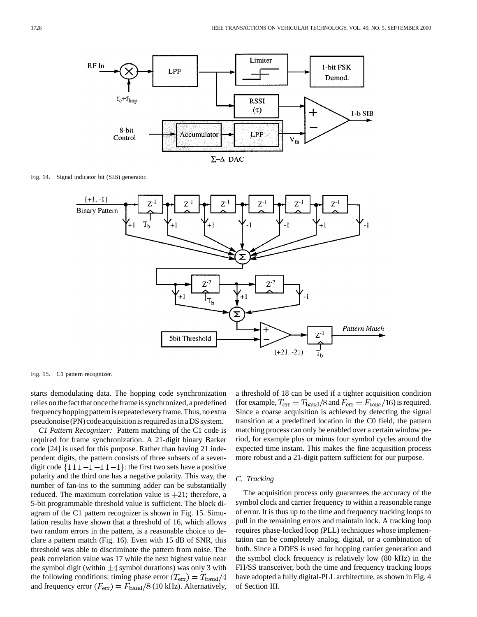

Fig. 14. Signal indicator bit (SIB) generator.



Fig. 15. C1 pattern recognizer.

starts demodulating data. The hopping code synchronization relies on the fact that once the frame is synchronized, a predefined frequency hopping pattern is repeated every frame. Thus, no extra pseudonoise (PN) code acquisition is required as in a DS system.

*C1 Pattern Recognizer:* Pattern matching of the C1 code is required for frame synchronization. A 21-digit binary Barker code [24] is used for this purpose. Rather than having 21 independent digits, the pattern consists of three subsets of a sevendigit code  $\{111 - 1 - 11 - 1\}$ : the first two sets have a positive polarity and the third one has a negative polarity. This way, the number of fan-ins to the summing adder can be substantially reduced. The maximum correlation value is  $+21$ ; therefore, a 5-bit programmable threshold value is sufficient. The block diagram of the C1 pattern recognizer is shown in Fig. 15. Simulation results have shown that a threshold of 16, which allows two random errors in the pattern, is a reasonable choice to declare a pattern match (Fig. 16). Even with 15 dB of SNR, this threshold was able to discriminate the pattern from noise. The peak correlation value was 17 while the next highest value near the symbol digit (within  $\pm 4$  symbol durations) was only 3 with the following conditions: timing phase error  $(T_{\text{err}}) = T_{\text{baud}}/4$ and frequency error  $(F_{\text{err}}) = F_{\text{baud}}/8$  (10 kHz). Alternatively, a threshold of 18 can be used if a tighter acquisition condition (for example,  $T_{\text{err}} = T_{\text{baud}}/8$  and  $F_{\text{err}} = F_{\text{tone}}/16$ ) is required. Since a coarse acquisition is achieved by detecting the signal transition at a predefined location in the C0 field, the pattern matching process can only be enabled over a certain window period, for example plus or minus four symbol cycles around the expected time instant. This makes the fine acquisition process more robust and a 21-digit pattern sufficient for our purpose.

# *C. Tracking*

The acquisition process only guarantees the accuracy of the symbol clock and carrier frequency to within a reasonable range of error. It is thus up to the time and frequency tracking loops to pull in the remaining errors and maintain lock. A tracking loop requires phase-locked loop (PLL) techniques whose implementation can be completely analog, digital, or a combination of both. Since a DDFS is used for hopping carrier generation and the symbol clock frequency is relatively low (80 kHz) in the FH/SS transceiver, both the time and frequency tracking loops have adopted a fully digital-PLL architecture, as shown in Fig. 4 of Section III.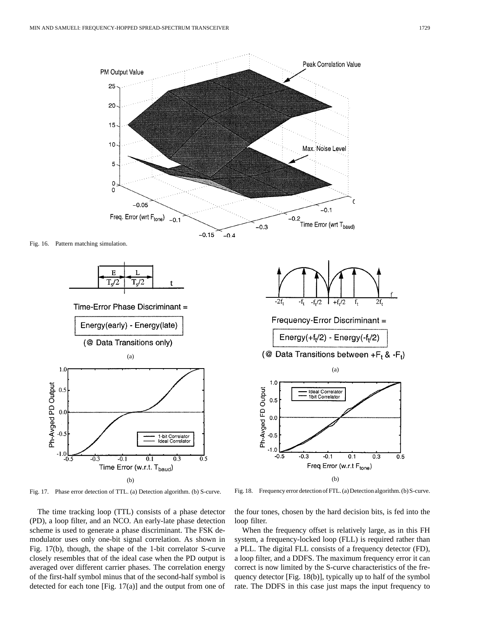

Fig. 17. Phase error detection of TTL. (a) Detection algorithm. (b) S-curve.

Ph-Avged PD Output

The time tracking loop (TTL) consists of a phase detector (PD), a loop filter, and an NCO. An early-late phase detection scheme is used to generate a phase discriminant. The FSK demodulator uses only one-bit signal correlation. As shown in Fig. 17(b), though, the shape of the 1-bit correlator S-curve closely resembles that of the ideal case when the PD output is averaged over different carrier phases. The correlation energy of the first-half symbol minus that of the second-half symbol is detected for each tone [Fig. 17(a)] and the output from one of

Fig. 18. Frequency error detection of FTL. (a) Detection algorithm. (b) S-curve.

 $0.5$ 

the four tones, chosen by the hard decision bits, is fed into the loop filter.

When the frequency offset is relatively large, as in this FH system, a frequency-locked loop (FLL) is required rather than a PLL. The digital FLL consists of a frequency detector (FD), a loop filter, and a DDFS. The maximum frequency error it can correct is now limited by the S-curve characteristics of the frequency detector [Fig. 18(b)], typically up to half of the symbol rate. The DDFS in this case just maps the input frequency to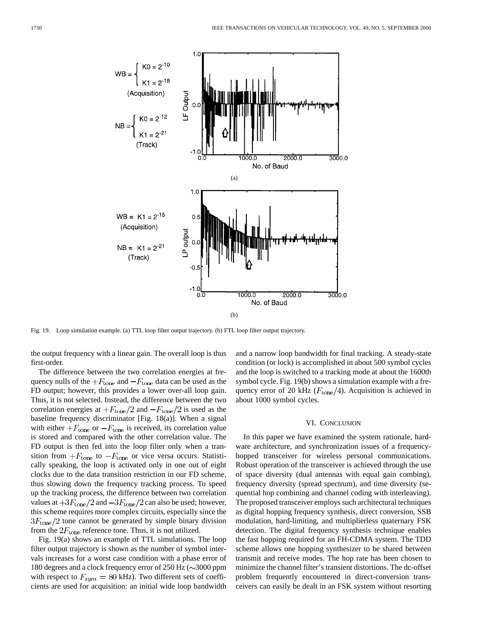

Fig. 19. Loop simulation example. (a) TTL loop filter output trajectory. (b) FTL loop filter output trajectory.

the output frequency with a linear gain. The overall loop is thus first-order.

The difference between the two correlation energies at frequency nulls of the  $+F_{\text{tone}}$  and  $-F_{\text{tone}}$  data can be used as the FD output; however, this provides a lower over-all loop gain. Thus, it is not selected. Instead, the difference between the two correlation energies at  $+F_{\text{tone}}/2$  and  $-F_{\text{tone}}/2$  is used as the baseline frequency discriminator [Fig. 18(a)]. When a signal with either  $+F_{\text{tone}}$  or  $-F_{\text{tone}}$  is received, its correlation value is stored and compared with the other correlation value. The FD output is then fed into the loop filter only when a transition from  $+F_{\text{tone}}$  to  $-F_{\text{tone}}$  or vice versa occurs. Statistically speaking, the loop is activated only in one out of eight clocks due to the data transition restriction in our FD scheme, thus slowing down the frequency tracking process. To speed up the tracking process, the difference between two correlation values at  $+3F_{\text{tone}}/2$  and  $-3F_{\text{tone}}/2$  can also be used; however, this scheme requires more complex circuits, especially since the  $3F<sub>tone</sub>/2$  tone cannot be generated by simple binary division from the  $2F_{\text{tone}}$  reference tone. Thus, it is not utilized.

Fig. 19(a) shows an example of TTL simulations. The loop filter output trajectory is shown as the number of symbol intervals increases for a worst case condition with a phase error of 180 degrees and a clock frequency error of 250 Hz  $(\sim 3000 \text{ ppm})$ with respect to  $F_{sym} = 80$  kHz). Two different sets of coefficients are used for acquisition: an initial wide loop bandwidth and a narrow loop bandwidth for final tracking. A steady-state condition (or lock) is accomplished in about 500 symbol cycles and the loop is switched to a tracking mode at about the 1600th symbol cycle. Fig. 19(b) shows a simulation example with a frequency error of 20 kHz  $(F<sub>tone</sub>/4)$ . Acquisition is achieved in about 1000 symbol cycles.

## VI. CONCLUSION

In this paper we have examined the system rationale, hardware architecture, and synchronization issues of a frequencyhopped transceiver for wireless personal communications. Robust operation of the transceiver is achieved through the use of space diversity (dual antennas with equal gain combing), frequency diversity (spread spectrum), and time diversity (sequential hop combining and channel coding with interleaving). The proposed transceiver employs such architectural techniques as digital hopping frequency synthesis, direct conversion, SSB modulation, hard-limiting, and multiplierless quaternary FSK detection. The digital frequency synthesis technique enables the fast hopping required for an FH-CDMA system. The TDD scheme allows one hopping synthesizer to be shared between transmit and receive modes. The hop rate has been chosen to minimize the channel filter's transient distortions. The dc-offset problem frequently encountered in direct-conversion transceivers can easily be dealt in an FSK system without resorting